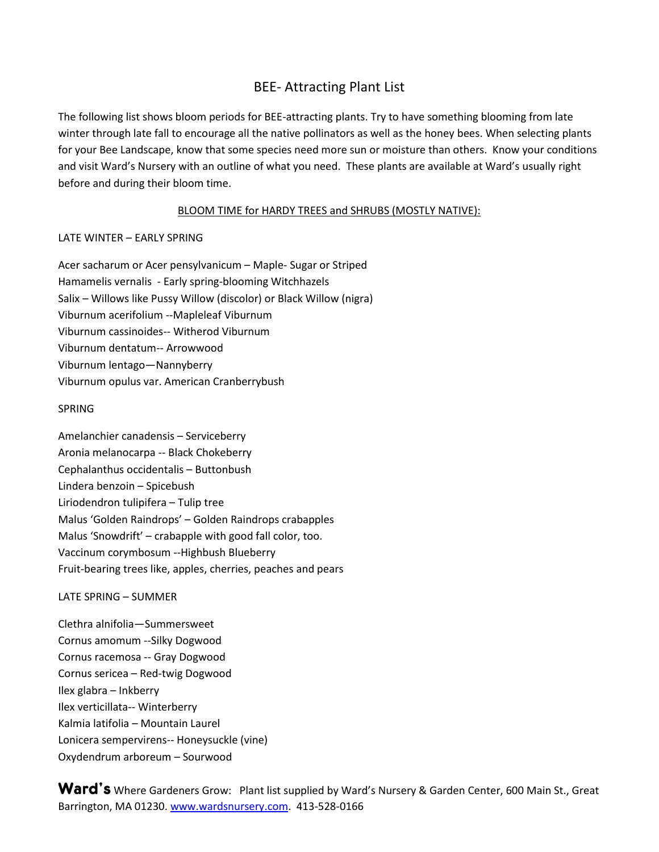# BEE- Attracting Plant List

The following list shows bloom periods for BEE-attracting plants. Try to have something blooming from late winter through late fall to encourage all the native pollinators as well as the honey bees. When selecting plants for your Bee Landscape, know that some species need more sun or moisture than others. Know your conditions and visit Ward's Nursery with an outline of what you need. These plants are available at Ward's usually right before and during their bloom time.

## BLOOM TIME for HARDY TREES and SHRUBS (MOSTLY NATIVE):

## LATE WINTER – EARLY SPRING

Acer sacharum or Acer pensylvanicum – Maple- Sugar or Striped Hamamelis vernalis - Early spring-blooming Witchhazels Salix – Willows like Pussy Willow (discolor) or Black Willow (nigra) Viburnum acerifolium --Mapleleaf Viburnum Viburnum cassinoides-- Witherod Viburnum Viburnum dentatum-- Arrowwood Viburnum lentago—Nannyberry Viburnum opulus var. American Cranberrybush

## SPRING

Amelanchier canadensis – Serviceberry Aronia melanocarpa -- Black Chokeberry Cephalanthus occidentalis – Buttonbush Lindera benzoin – Spicebush Liriodendron tulipifera – Tulip tree Malus 'Golden Raindrops' – Golden Raindrops crabapples Malus 'Snowdrift' – crabapple with good fall color, too. Vaccinum corymbosum --Highbush Blueberry Fruit-bearing trees like, apples, cherries, peaches and pears

## LATE SPRING – SUMMER

Clethra alnifolia—Summersweet Cornus amomum --Silky Dogwood Cornus racemosa -- Gray Dogwood Cornus sericea – Red-twig Dogwood Ilex glabra – Inkberry Ilex verticillata-- Winterberry Kalmia latifolia – Mountain Laurel Lonicera sempervirens-- Honeysuckle (vine) Oxydendrum arboreum – Sourwood

Ward's Where Gardeners Grow: Plant list supplied by Ward's Nursery & Garden Center, 600 Main St., Great Barrington, MA 01230. [www.wardsnursery.com.](http://www.wardsnursery.com/) 413-528-0166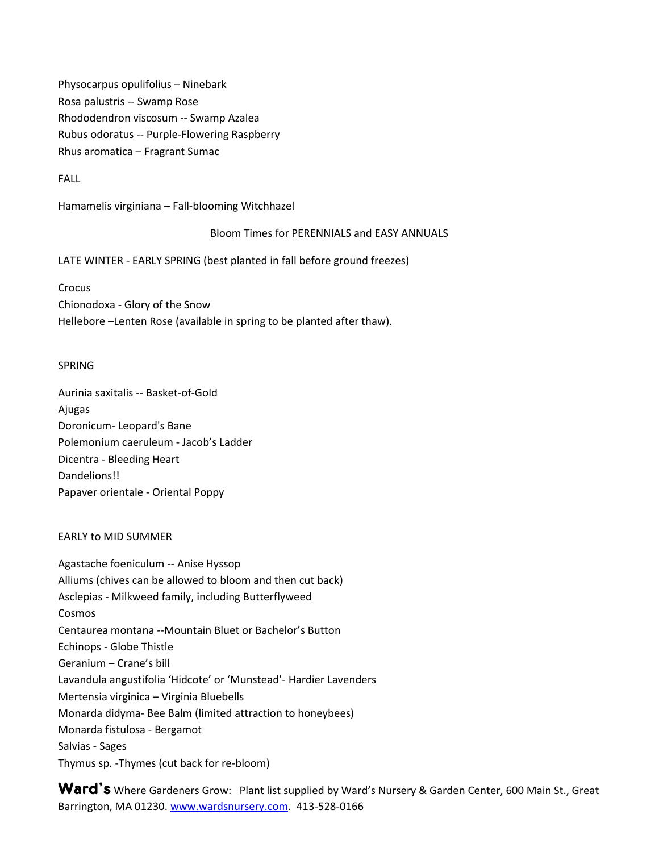Physocarpus opulifolius – Ninebark Rosa palustris -- Swamp Rose Rhododendron viscosum -- Swamp Azalea Rubus odoratus -- Purple-Flowering Raspberry Rhus aromatica – Fragrant Sumac

FALL

Hamamelis virginiana – Fall-blooming Witchhazel

## Bloom Times for PERENNIALS and EASY ANNUALS

LATE WINTER - EARLY SPRING (best planted in fall before ground freezes)

**Crocus** Chionodoxa - Glory of the Snow Hellebore –Lenten Rose (available in spring to be planted after thaw).

## SPRING

Aurinia saxitalis -- Basket-of-Gold Ajugas Doronicum- Leopard's Bane Polemonium caeruleum - Jacob's Ladder Dicentra - Bleeding Heart Dandelions!! Papaver orientale - Oriental Poppy

#### EARLY to MID SUMMER

Agastache foeniculum -- Anise Hyssop Alliums (chives can be allowed to bloom and then cut back) Asclepias - Milkweed family, including Butterflyweed Cosmos Centaurea montana --Mountain Bluet or Bachelor's Button Echinops - Globe Thistle Geranium – Crane's bill Lavandula angustifolia 'Hidcote' or 'Munstead'- Hardier Lavenders Mertensia virginica – Virginia Bluebells Monarda didyma- Bee Balm (limited attraction to honeybees) Monarda fistulosa - Bergamot Salvias - Sages Thymus sp. -Thymes (cut back for re-bloom)

Ward's Where Gardeners Grow: Plant list supplied by Ward's Nursery & Garden Center, 600 Main St., Great Barrington, MA 01230. [www.wardsnursery.com.](http://www.wardsnursery.com/) 413-528-0166